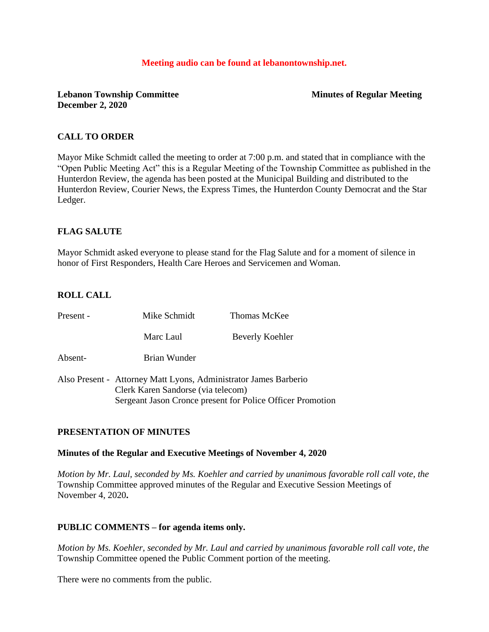#### **Meeting audio can be found at lebanontownship.net.**

## **Lebanon Township Committee Minutes of Regular Meeting December 2, 2020**

## **CALL TO ORDER**

Mayor Mike Schmidt called the meeting to order at 7:00 p.m. and stated that in compliance with the "Open Public Meeting Act" this is a Regular Meeting of the Township Committee as published in the Hunterdon Review, the agenda has been posted at the Municipal Building and distributed to the Hunterdon Review, Courier News, the Express Times, the Hunterdon County Democrat and the Star Ledger.

## **FLAG SALUTE**

Mayor Schmidt asked everyone to please stand for the Flag Salute and for a moment of silence in honor of First Responders, Health Care Heroes and Servicemen and Woman.

## **ROLL CALL**

| Present - | Mike Schmidt                                                                                           | <b>Thomas McKee</b>                                        |
|-----------|--------------------------------------------------------------------------------------------------------|------------------------------------------------------------|
|           | Marc Laul                                                                                              | Beverly Koehler                                            |
| Absent-   | Brian Wunder                                                                                           |                                                            |
|           | Also Present - Attorney Matt Lyons, Administrator James Barberio<br>Clerk Karen Sandorse (via telecom) | Sergeant Jason Cronce present for Police Officer Promotion |

## **PRESENTATION OF MINUTES**

#### **Minutes of the Regular and Executive Meetings of November 4, 2020**

*Motion by Mr. Laul, seconded by Ms. Koehler and carried by unanimous favorable roll call vote, the* Township Committee approved minutes of the Regular and Executive Session Meetings of November 4, 2020**.** 

## **PUBLIC COMMENTS – for agenda items only.**

*Motion by Ms. Koehler, seconded by Mr. Laul and carried by unanimous favorable roll call vote, the* Township Committee opened the Public Comment portion of the meeting.

There were no comments from the public.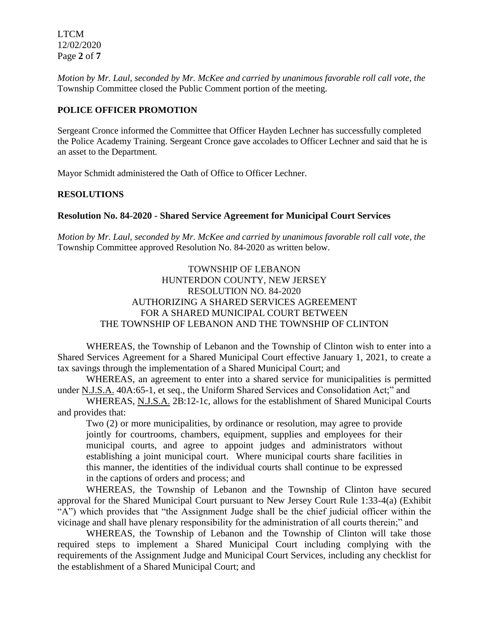LTCM 12/02/2020 Page **2** of **7**

*Motion by Mr. Laul, seconded by Mr. McKee and carried by unanimous favorable roll call vote, the*  Township Committee closed the Public Comment portion of the meeting.

## **POLICE OFFICER PROMOTION**

Sergeant Cronce informed the Committee that Officer Hayden Lechner has successfully completed the Police Academy Training. Sergeant Cronce gave accolades to Officer Lechner and said that he is an asset to the Department.

Mayor Schmidt administered the Oath of Office to Officer Lechner.

#### **RESOLUTIONS**

#### **Resolution No. 84-2020 - Shared Service Agreement for Municipal Court Services**

*Motion by Mr. Laul, seconded by Mr. McKee and carried by unanimous favorable roll call vote*, *the* Township Committee approved Resolution No. 84-2020 as written below.

> TOWNSHIP OF LEBANON HUNTERDON COUNTY, NEW JERSEY RESOLUTION NO. 84-2020 AUTHORIZING A SHARED SERVICES AGREEMENT FOR A SHARED MUNICIPAL COURT BETWEEN THE TOWNSHIP OF LEBANON AND THE TOWNSHIP OF CLINTON

WHEREAS, the Township of Lebanon and the Township of Clinton wish to enter into a Shared Services Agreement for a Shared Municipal Court effective January 1, 2021, to create a tax savings through the implementation of a Shared Municipal Court; and

WHEREAS, an agreement to enter into a shared service for municipalities is permitted under N.J.S.A. 40A:65-1, et seq., the Uniform Shared Services and Consolidation Act;" and

WHEREAS, N.J.S.A. 2B:12-1c, allows for the establishment of Shared Municipal Courts and provides that:

Two (2) or more municipalities, by ordinance or resolution, may agree to provide jointly for courtrooms, chambers, equipment, supplies and employees for their municipal courts, and agree to appoint judges and administrators without establishing a joint municipal court. Where municipal courts share facilities in this manner, the identities of the individual courts shall continue to be expressed in the captions of orders and process; and

WHEREAS, the Township of Lebanon and the Township of Clinton have secured approval for the Shared Municipal Court pursuant to New Jersey Court Rule 1:33-4(a) (Exhibit "A") which provides that "the Assignment Judge shall be the chief judicial officer within the vicinage and shall have plenary responsibility for the administration of all courts therein;" and

WHEREAS, the Township of Lebanon and the Township of Clinton will take those required steps to implement a Shared Municipal Court including complying with the requirements of the Assignment Judge and Municipal Court Services, including any checklist for the establishment of a Shared Municipal Court; and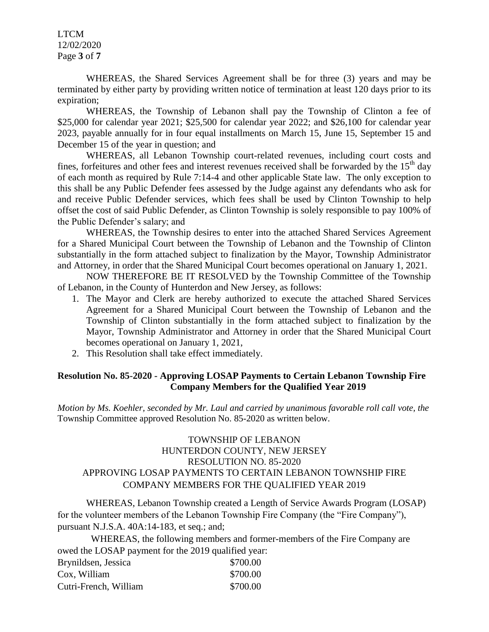LTCM 12/02/2020 Page **3** of **7**

WHEREAS, the Shared Services Agreement shall be for three (3) years and may be terminated by either party by providing written notice of termination at least 120 days prior to its expiration;

WHEREAS, the Township of Lebanon shall pay the Township of Clinton a fee of \$25,000 for calendar year 2021; \$25,500 for calendar year 2022; and \$26,100 for calendar year 2023, payable annually for in four equal installments on March 15, June 15, September 15 and December 15 of the year in question; and

WHEREAS, all Lebanon Township court-related revenues, including court costs and fines, forfeitures and other fees and interest revenues received shall be forwarded by the  $15<sup>th</sup>$  day of each month as required by Rule 7:14-4 and other applicable State law. The only exception to this shall be any Public Defender fees assessed by the Judge against any defendants who ask for and receive Public Defender services, which fees shall be used by Clinton Township to help offset the cost of said Public Defender, as Clinton Township is solely responsible to pay 100% of the Public Defender's salary; and

WHEREAS, the Township desires to enter into the attached Shared Services Agreement for a Shared Municipal Court between the Township of Lebanon and the Township of Clinton substantially in the form attached subject to finalization by the Mayor, Township Administrator and Attorney, in order that the Shared Municipal Court becomes operational on January 1, 2021.

NOW THEREFORE BE IT RESOLVED by the Township Committee of the Township of Lebanon, in the County of Hunterdon and New Jersey, as follows:

- 1. The Mayor and Clerk are hereby authorized to execute the attached Shared Services Agreement for a Shared Municipal Court between the Township of Lebanon and the Township of Clinton substantially in the form attached subject to finalization by the Mayor, Township Administrator and Attorney in order that the Shared Municipal Court becomes operational on January 1, 2021,
- 2. This Resolution shall take effect immediately.

## **Resolution No. 85-2020 - Approving LOSAP Payments to Certain Lebanon Township Fire Company Members for the Qualified Year 2019**

*Motion by Ms. Koehler, seconded by Mr. Laul and carried by unanimous favorable roll call vote, the* Township Committee approved Resolution No. 85-2020 as written below.

# TOWNSHIP OF LEBANON HUNTERDON COUNTY, NEW JERSEY RESOLUTION NO. 85-2020 APPROVING LOSAP PAYMENTS TO CERTAIN LEBANON TOWNSHIP FIRE COMPANY MEMBERS FOR THE QUALIFIED YEAR 2019

WHEREAS, Lebanon Township created a Length of Service Awards Program (LOSAP) for the volunteer members of the Lebanon Township Fire Company (the "Fire Company"), pursuant N.J.S.A. 40A:14-183, et seq.; and;

 WHEREAS, the following members and former-members of the Fire Company are owed the LOSAP payment for the 2019 qualified year: Brynildsen, Jessica \$700.00 Cox, William \$700.00 Cutri-French, William \$700.00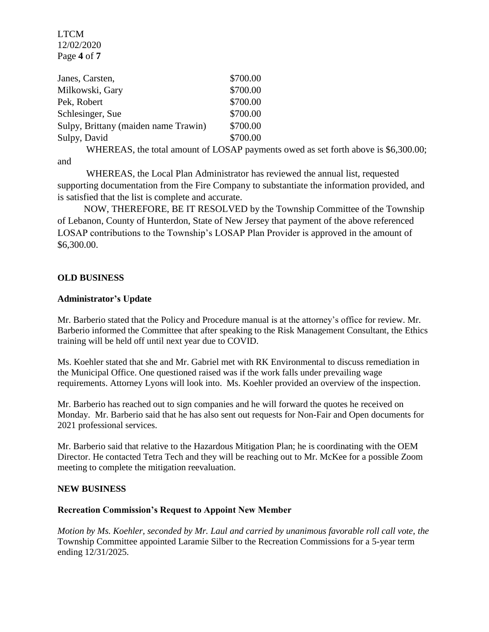LTCM 12/02/2020 Page **4** of **7**

| Janes, Carsten,                      | \$700.00 |
|--------------------------------------|----------|
| Milkowski, Gary                      | \$700.00 |
| Pek, Robert                          | \$700.00 |
| Schlesinger, Sue                     | \$700.00 |
| Sulpy, Brittany (maiden name Trawin) | \$700.00 |
| Sulpy, David                         | \$700.00 |

WHEREAS, the total amount of LOSAP payments owed as set forth above is \$6,300.00; and

 WHEREAS, the Local Plan Administrator has reviewed the annual list, requested supporting documentation from the Fire Company to substantiate the information provided, and is satisfied that the list is complete and accurate.

 NOW, THEREFORE, BE IT RESOLVED by the Township Committee of the Township of Lebanon, County of Hunterdon, State of New Jersey that payment of the above referenced LOSAP contributions to the Township's LOSAP Plan Provider is approved in the amount of \$6,300.00.

#### **OLD BUSINESS**

#### **Administrator's Update**

Mr. Barberio stated that the Policy and Procedure manual is at the attorney's office for review. Mr. Barberio informed the Committee that after speaking to the Risk Management Consultant, the Ethics training will be held off until next year due to COVID.

Ms. Koehler stated that she and Mr. Gabriel met with RK Environmental to discuss remediation in the Municipal Office. One questioned raised was if the work falls under prevailing wage requirements. Attorney Lyons will look into. Ms. Koehler provided an overview of the inspection.

Mr. Barberio has reached out to sign companies and he will forward the quotes he received on Monday. Mr. Barberio said that he has also sent out requests for Non-Fair and Open documents for 2021 professional services.

Mr. Barberio said that relative to the Hazardous Mitigation Plan; he is coordinating with the OEM Director. He contacted Tetra Tech and they will be reaching out to Mr. McKee for a possible Zoom meeting to complete the mitigation reevaluation.

#### **NEW BUSINESS**

#### **Recreation Commission's Request to Appoint New Member**

*Motion by Ms. Koehler, seconded by Mr. Laul and carried by unanimous favorable roll call vote, the* Township Committee appointed Laramie Silber to the Recreation Commissions for a 5-year term ending 12/31/2025.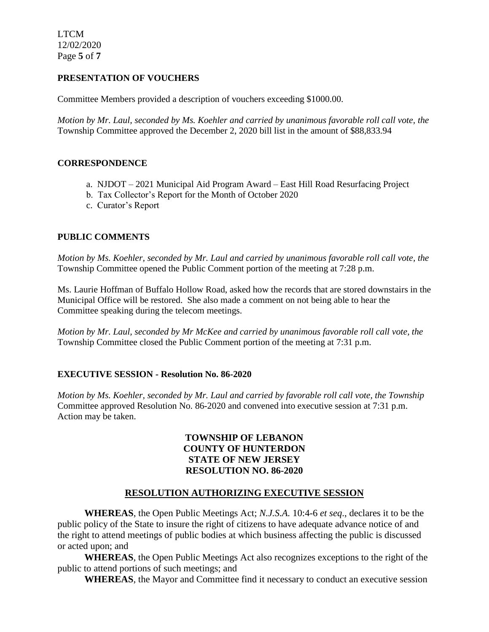LTCM 12/02/2020 Page **5** of **7**

## **PRESENTATION OF VOUCHERS**

Committee Members provided a description of vouchers exceeding \$1000.00.

*Motion by Mr. Laul, seconded by Ms. Koehler and carried by unanimous favorable roll call vote, the* Township Committee approved the December 2, 2020 bill list in the amount of \$88,833.94

## **CORRESPONDENCE**

- a. NJDOT 2021 Municipal Aid Program Award East Hill Road Resurfacing Project
- b. Tax Collector's Report for the Month of October 2020
- c. Curator's Report

# **PUBLIC COMMENTS**

*Motion by Ms. Koehler, seconded by Mr. Laul and carried by unanimous favorable roll call vote, the* Township Committee opened the Public Comment portion of the meeting at 7:28 p.m.

Ms. Laurie Hoffman of Buffalo Hollow Road, asked how the records that are stored downstairs in the Municipal Office will be restored. She also made a comment on not being able to hear the Committee speaking during the telecom meetings.

*Motion by Mr. Laul, seconded by Mr McKee and carried by unanimous favorable roll call vote, the*  Township Committee closed the Public Comment portion of the meeting at 7:31 p.m.

## **EXECUTIVE SESSION - Resolution No. 86-2020**

*Motion by Ms. Koehler, seconded by Mr. Laul and carried by favorable roll call vote, the Township*  Committee approved Resolution No. 86-2020 and convened into executive session at 7:31 p.m. Action may be taken.

# **TOWNSHIP OF LEBANON COUNTY OF HUNTERDON STATE OF NEW JERSEY RESOLUTION NO. 86-2020**

# **RESOLUTION AUTHORIZING EXECUTIVE SESSION**

**WHEREAS**, the Open Public Meetings Act; *N.J.S.A.* 10:4-6 *et seq*., declares it to be the public policy of the State to insure the right of citizens to have adequate advance notice of and the right to attend meetings of public bodies at which business affecting the public is discussed or acted upon; and

**WHEREAS**, the Open Public Meetings Act also recognizes exceptions to the right of the public to attend portions of such meetings; and

**WHEREAS**, the Mayor and Committee find it necessary to conduct an executive session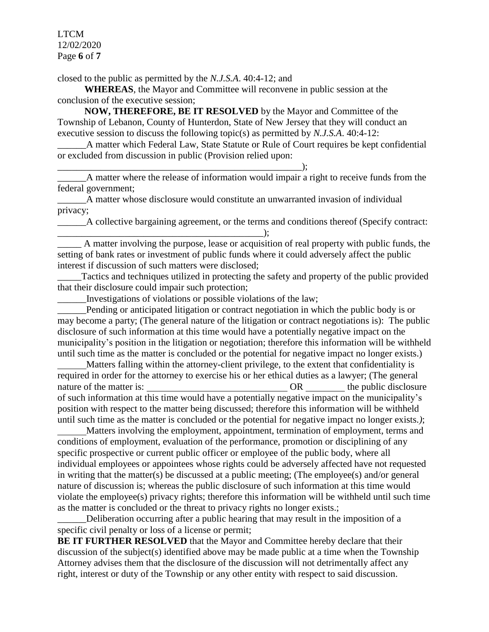LTCM 12/02/2020 Page **6** of **7**

closed to the public as permitted by the *N.J.S.A*. 40:4-12; and

\_\_\_\_\_\_\_\_\_\_\_\_\_\_\_\_\_\_\_\_\_\_\_\_\_\_\_\_\_\_\_\_\_\_\_\_\_\_\_\_\_\_\_\_\_\_\_\_\_\_\_);

**WHEREAS**, the Mayor and Committee will reconvene in public session at the conclusion of the executive session;

**NOW, THEREFORE, BE IT RESOLVED** by the Mayor and Committee of the Township of Lebanon, County of Hunterdon, State of New Jersey that they will conduct an executive session to discuss the following topic(s) as permitted by *N.J.S.A*. 40:4-12:

\_\_\_\_\_\_A matter which Federal Law, State Statute or Rule of Court requires be kept confidential or excluded from discussion in public (Provision relied upon:

\_\_\_\_\_\_A matter where the release of information would impair a right to receive funds from the federal government;

\_\_\_\_\_\_A matter whose disclosure would constitute an unwarranted invasion of individual privacy;

\_\_\_\_\_\_A collective bargaining agreement, or the terms and conditions thereof (Specify contract:  $\longrightarrow$  ;  $\longrightarrow$  ;  $\longrightarrow$  ;  $\longrightarrow$  ;  $\longrightarrow$  ;  $\longrightarrow$  ;  $\longrightarrow$  ;  $\longrightarrow$  ;  $\longrightarrow$  ;  $\longrightarrow$  ;  $\longrightarrow$  ;  $\longrightarrow$  ;  $\longrightarrow$  ;  $\longrightarrow$  ;  $\longrightarrow$  ;  $\longrightarrow$  ;  $\longrightarrow$  ;  $\longrightarrow$  ;  $\longrightarrow$  ;  $\longrightarrow$  ;  $\longrightarrow$  ;  $\longrightarrow$  ;  $\longrightarrow$  ;  $\longrightarrow$  ;  $\longrightarrow$  ;  $\longrightarrow$  ;  $\longrightarrow$  ;  $\longrightarrow$  ;  $\longrightarrow$  ;  $\longrightarrow$  ;  $\longrightarrow$  ;  $\longrightarrow$ 

\_\_\_\_\_ A matter involving the purpose, lease or acquisition of real property with public funds, the setting of bank rates or investment of public funds where it could adversely affect the public interest if discussion of such matters were disclosed;

Tactics and techniques utilized in protecting the safety and property of the public provided that their disclosure could impair such protection;

\_\_\_\_\_\_Investigations of violations or possible violations of the law;

Pending or anticipated litigation or contract negotiation in which the public body is or may become a party; (The general nature of the litigation or contract negotiations is): The public disclosure of such information at this time would have a potentially negative impact on the municipality's position in the litigation or negotiation; therefore this information will be withheld until such time as the matter is concluded or the potential for negative impact no longer exists.)

 Matters falling within the attorney-client privilege, to the extent that confidentiality is required in order for the attorney to exercise his or her ethical duties as a lawyer; (The general nature of the matter is:  $OR$  the public disclosure of such information at this time would have a potentially negative impact on the municipality's position with respect to the matter being discussed; therefore this information will be withheld until such time as the matter is concluded or the potential for negative impact no longer exists.*)*;

 Matters involving the employment, appointment, termination of employment, terms and conditions of employment, evaluation of the performance, promotion or disciplining of any specific prospective or current public officer or employee of the public body, where all individual employees or appointees whose rights could be adversely affected have not requested in writing that the matter(s) be discussed at a public meeting; (The employee(s) and/or general nature of discussion is; whereas the public disclosure of such information at this time would violate the employee(s) privacy rights; therefore this information will be withheld until such time as the matter is concluded or the threat to privacy rights no longer exists.;

Deliberation occurring after a public hearing that may result in the imposition of a specific civil penalty or loss of a license or permit;

**BE IT FURTHER RESOLVED** that the Mayor and Committee hereby declare that their discussion of the subject(s) identified above may be made public at a time when the Township Attorney advises them that the disclosure of the discussion will not detrimentally affect any right, interest or duty of the Township or any other entity with respect to said discussion.